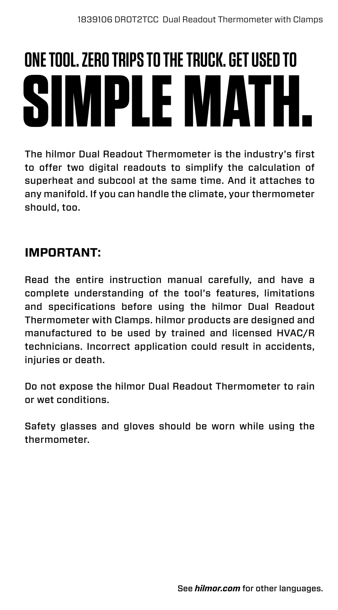# **SIMPLE MATH. ONE TOOL. ZERO TRIPS TO THE TRUCK. GET USED TO**

The hilmor Dual Readout Thermometer is the industry's first to offer two digital readouts to simplify the calculation of superheat and subcool at the same time. And it attaches to any manifold. If you can handle the climate, your thermometer should, too.

### **IMPORTANT:**

Read the entire instruction manual carefully, and have a complete understanding of the tool's features, limitations and specifications before using the hilmor Dual Readout Thermometer with Clamps. hilmor products are designed and manufactured to be used by trained and licensed HVAC/R technicians. Incorrect application could result in accidents, iniuries or death.

Do not expose the hilmor Dual Readout Thermometer to rain or wet conditions.

Safety glasses and gloves should be worn while using the thermometer.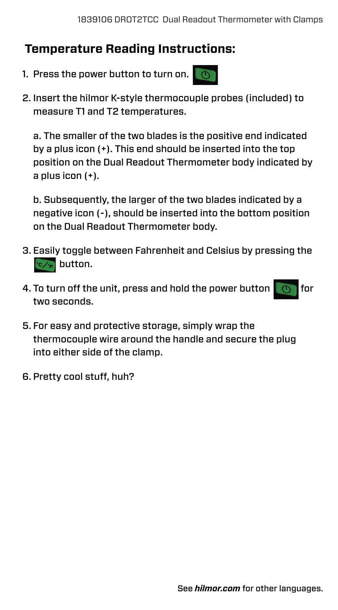#### **Temperature Reading Instructions:**

- 1. Press the power button to turn on.  $\Box$
- 2. Insert the hilmor K-style thermocouple probes (included) to measure T1 and T2 temperatures.

a. The smaller of the two blades is the positive end indicated by a plus icon (+). This end should be inserted into the top position on the Dual Readout Thermometer body indicated by a plus icon (+).

b. Subsequently, the larger of the two blades indicated by a negative icon (-), should be inserted into the bottom position on the Dual Readout Thermometer body.

- 3. Easily toggle between Fahrenheit and Celsius by pressing the **button.**
- 4. To turn off the unit, press and hold the power button  $\Box$  for two seconds.
- 5. For easy and protective storage, simply wrap the thermocouple wire around the handle and secure the plug into either side of the clamp.
- 6. Pretty cool stuff, huh?

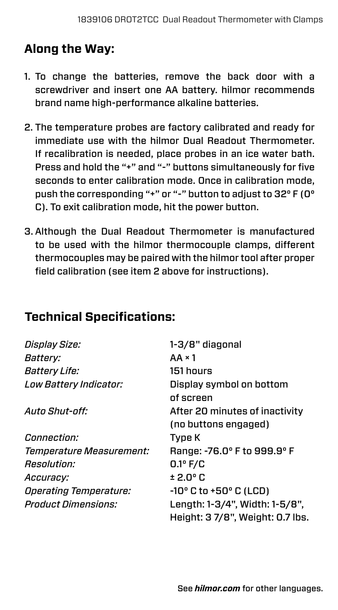# **Along the Way:**

- 1. To change the batteries, remove the back door with a screwdriver and insert one AA battery. hilmor recommends brand name high-performance alkaline batteries.
- 2. The temperature probes are factory calibrated and ready for immediate use with the hilmor Dual Readout Thermometer. If recalibration is needed, place probes in an ice water bath. Press and hold the "+" and "-" buttons simultaneously for five seconds to enter calibration mode. Once in calibration mode, push the corresponding "+" or "-" button to adjust to 32° F (0° C). To exit calibration mode, hit the power button.
- 3. Although the Dual Readout Thermometer is manufactured to be used with the hilmor thermocouple clamps, different thermocouples may be paired with the hilmor tool after proper field calibration (see item 2 above for instructions).

#### **Technical Specifications:**

| Display Size:                        | 1-3/8" diagonal                          |
|--------------------------------------|------------------------------------------|
| <i>Battery:</i>                      | $AA \times 1$                            |
| <i>Battery Life:</i>                 | 151 hours                                |
| Low Battery Indicator:               | Display symbol on bottom                 |
|                                      | of screen                                |
| Auto Shut-off:                       | After 20 minutes of inactivity           |
|                                      | (no buttons engaged)                     |
| Connection:                          | Type K                                   |
| Temperature Measurement:             | Range: -76.0° F to 999.9° F              |
| Resolution:                          | 0.1° F/C                                 |
| Accuracy:                            | ± 2.0° C                                 |
| <i><b>Operating Temperature:</b></i> | $-10^{\circ}$ C to $+50^{\circ}$ C (LCD) |
| Product Dimensions:                  | Length: 1-3/4", Width: 1-5/8",           |
|                                      | Height: 3 7/8", Weight: 0.7 lbs.         |